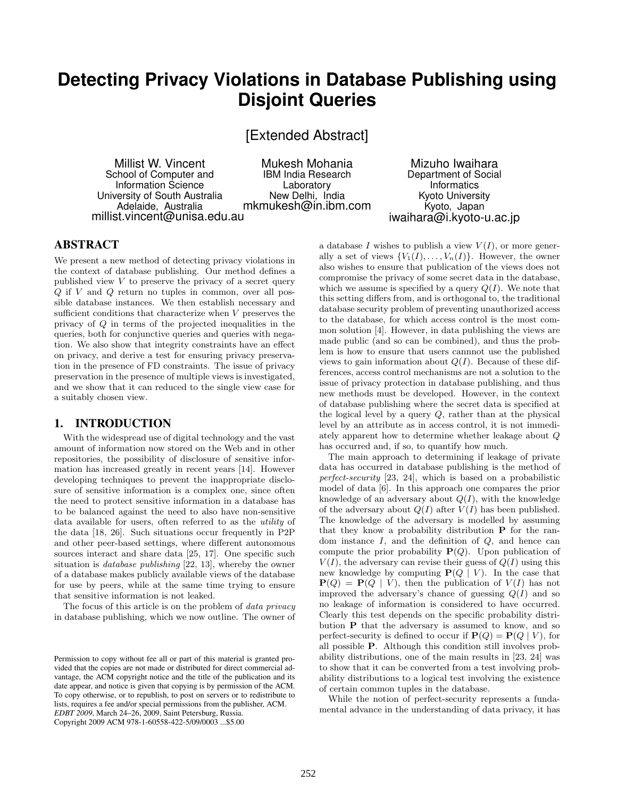# **Detecting Privacy Violations in Database Publishing using Disjoint Queries**

[Extended Abstract]

Millist W. Vincent School of Computer and Information Science University of South Australia Adelaide, Australia millist.vincent@unisa.edu.au

Mukesh Mohania IBM India Research Laboratory New Delhi, India mkmukesh@in.ibm.com

Mizuho Iwaihara Department of Social Informatics Kyoto University Kyoto, Japan iwaihara@i.kyoto-u.ac.jp

## ABSTRACT

We present a new method of detecting privacy violations in the context of database publishing. Our method defines a published view  $V$  to preserve the privacy of a secret query  $Q$  if  $V$  and  $Q$  return no tuples in common, over all possible database instances. We then establish necessary and sufficient conditions that characterize when V preserves the privacy of Q in terms of the projected inequalities in the queries, both for conjunctive queries and queries with negation. We also show that integrity constraints have an effect on privacy, and derive a test for ensuring privacy preservation in the presence of FD constraints. The issue of privacy preservation in the presence of multiple views is investigated, and we show that it can reduced to the single view case for a suitably chosen view.

## 1. INTRODUCTION

With the widespread use of digital technology and the vast amount of information now stored on the Web and in other repositories, the possibility of disclosure of sensitive information has increased greatly in recent years [14]. However developing techniques to prevent the inappropriate disclosure of sensitive information is a complex one, since often the need to protect sensitive information in a database has to be balanced against the need to also have non-sensitive data available for users, often referred to as the utility of the data [18, 26]. Such situations occur frequently in P2P and other peer-based settings, where different autonomous sources interact and share data [25, 17]. One specific such situation is database publishing [22, 13], whereby the owner of a database makes publicly available views of the database for use by peers, while at the same time trying to ensure that sensitive information is not leaked.

The focus of this article is on the problem of *data privacy* in database publishing, which we now outline. The owner of

a database I wishes to publish a view  $V(I)$ , or more generally a set of views  $\{V_1(I), \ldots, V_n(I)\}\$ . However, the owner also wishes to ensure that publication of the views does not compromise the privacy of some secret data in the database, which we assume is specified by a query  $Q(I)$ . We note that this setting differs from, and is orthogonal to, the traditional database security problem of preventing unauthorized access to the database, for which access control is the most common solution [4]. However, in data publishing the views are made public (and so can be combined), and thus the problem is how to ensure that users cannnot use the published views to gain information about  $Q(I)$ . Because of these differences, access control mechanisms are not a solution to the issue of privacy protection in database publishing, and thus new methods must be developed. However, in the context of database publishing where the secret data is specified at the logical level by a query  $Q$ , rather than at the physical level by an attribute as in access control, it is not immediately apparent how to determine whether leakage about Q has occurred and, if so, to quantify how much.

The main approach to determining if leakage of private data has occurred in database publishing is the method of perfect-security [23, 24], which is based on a probabilistic model of data [6]. In this approach one compares the prior knowledge of an adversary about  $Q(I)$ , with the knowledge of the adversary about  $Q(I)$  after  $V(I)$  has been published. The knowledge of the adversary is modelled by assuming that they know a probability distribution P for the random instance  $I$ , and the definition of  $Q$ , and hence can compute the prior probability  $P(Q)$ . Upon publication of  $V(I)$ , the adversary can revise their guess of  $Q(I)$  using this new knowledge by computing  $P(Q | V)$ . In the case that  $P(Q) = P(Q | V)$ , then the publication of  $V(I)$  has not improved the adversary's chance of guessing  $Q(I)$  and so no leakage of information is considered to have occurred. Clearly this test depends on the specific probability distribution P that the adversary is assumed to know, and so perfect-security is defined to occur if  $P(Q) = P(Q | V)$ , for all possible P. Although this condition still involves probability distributions, one of the main results in [23, 24] was to show that it can be converted from a test involving probability distributions to a logical test involving the existence of certain common tuples in the database.

While the notion of perfect-security represents a fundamental advance in the understanding of data privacy, it has

Permission to copy without fee all or part of this material is granted provided that the copies are not made or distributed for direct commercial advantage, the ACM copyright notice and the title of the publication and its date appear, and notice is given that copying is by permission of the ACM. To copy otherwise, or to republish, to post on servers or to redistribute to lists, requires a fee and/or special permissions from the publisher, ACM. *EDBT 2009*, March 24–26, 2009, Saint Petersburg, Russia. Copyright 2009 ACM 978-1-60558-422-5/09/0003 ...\$5.00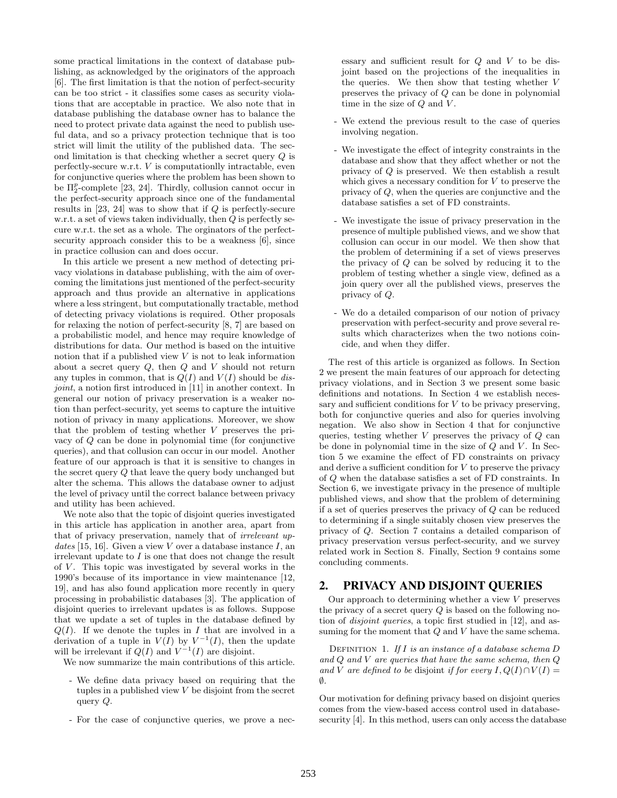some practical limitations in the context of database publishing, as acknowledged by the originators of the approach [6]. The first limitation is that the notion of perfect-security can be too strict - it classifies some cases as security violations that are acceptable in practice. We also note that in database publishing the database owner has to balance the need to protect private data against the need to publish useful data, and so a privacy protection technique that is too strict will limit the utility of the published data. The second limitation is that checking whether a secret query Q is perfectly-secure w.r.t.  $V$  is computationlly intractable, even for conjunctive queries where the problem has been shown to be  $\Pi_2^p$ -complete [23, 24]. Thirdly, collusion cannot occur in the perfect-security approach since one of the fundamental results in  $[23, 24]$  was to show that if  $Q$  is perfectly-secure w.r.t. a set of views taken individually, then  $Q$  is perfectly secure w.r.t. the set as a whole. The orginators of the perfectsecurity approach consider this to be a weakness [6], since in practice collusion can and does occur.

In this article we present a new method of detecting privacy violations in database publishing, with the aim of overcoming the limitations just mentioned of the perfect-security approach and thus provide an alternative in applications where a less stringent, but computationally tractable, method of detecting privacy violations is required. Other proposals for relaxing the notion of perfect-security [8, 7] are based on a probabilistic model, and hence may require knowledge of distributions for data. Our method is based on the intuitive notion that if a published view  $V$  is not to leak information about a secret query  $Q$ , then  $Q$  and  $V$  should not return any tuples in common, that is  $Q(I)$  and  $V(I)$  should be disjoint, a notion first introduced in [11] in another context. In general our notion of privacy preservation is a weaker notion than perfect-security, yet seems to capture the intuitive notion of privacy in many applications. Moreover, we show that the problem of testing whether V preserves the privacy of Q can be done in polynomial time (for conjunctive queries), and that collusion can occur in our model. Another feature of our approach is that it is sensitive to changes in the secret query Q that leave the query body unchanged but alter the schema. This allows the database owner to adjust the level of privacy until the correct balance between privacy and utility has been achieved.

We note also that the topic of disjoint queries investigated in this article has application in another area, apart from that of privacy preservation, namely that of irrelevant updates [15, 16]. Given a view V over a database instance I, an irrelevant update to I is one that does not change the result of  $V$ . This topic was investigated by several works in the 1990's because of its importance in view maintenance [12, 19], and has also found application more recently in query processing in probabilistic databases [3]. The application of disjoint queries to irrelevant updates is as follows. Suppose that we update a set of tuples in the database defined by  $Q(I)$ . If we denote the tuples in I that are involved in a derivation of a tuple in  $V(I)$  by  $V^{-1}(I)$ , then the update will be irrelevant if  $Q(I)$  and  $V^{-1}(I)$  are disjoint.

We now summarize the main contributions of this article.

- We define data privacy based on requiring that the tuples in a published view  $V$  be disjoint from the secret query Q.
- For the case of conjunctive queries, we prove a nec-

essary and sufficient result for Q and V to be disjoint based on the projections of the inequalities in the queries. We then show that testing whether V preserves the privacy of Q can be done in polynomial time in the size of  $Q$  and  $V$ .

- We extend the previous result to the case of queries involving negation.
- We investigate the effect of integrity constraints in the database and show that they affect whether or not the privacy of Q is preserved. We then establish a result which gives a necessary condition for  $V$  to preserve the privacy of Q, when the queries are conjunctive and the database satisfies a set of FD constraints.
- We investigate the issue of privacy preservation in the presence of multiple published views, and we show that collusion can occur in our model. We then show that the problem of determining if a set of views preserves the privacy of Q can be solved by reducing it to the problem of testing whether a single view, defined as a join query over all the published views, preserves the privacy of Q.
- We do a detailed comparison of our notion of privacy preservation with perfect-security and prove several results which characterizes when the two notions coincide, and when they differ.

The rest of this article is organized as follows. In Section 2 we present the main features of our approach for detecting privacy violations, and in Section 3 we present some basic definitions and notations. In Section 4 we establish necessary and sufficient conditions for  $V$  to be privacy preserving, both for conjunctive queries and also for queries involving negation. We also show in Section 4 that for conjunctive queries, testing whether  $V$  preserves the privacy of  $Q$  can be done in polynomial time in the size of  $Q$  and  $V$ . In Section 5 we examine the effect of FD constraints on privacy and derive a sufficient condition for  $V$  to preserve the privacy of Q when the database satisfies a set of FD constraints. In Section 6, we investigate privacy in the presence of multiple published views, and show that the problem of determining if a set of queries preserves the privacy of Q can be reduced to determining if a single suitably chosen view preserves the privacy of Q. Section 7 contains a detailed comparison of privacy preservation versus perfect-security, and we survey related work in Section 8. Finally, Section 9 contains some concluding comments.

## 2. PRIVACY AND DISJOINT QUERIES

Our approach to determining whether a view  $V$  preserves the privacy of a secret query  $Q$  is based on the following notion of disjoint queries, a topic first studied in [12], and assuming for the moment that  $Q$  and  $V$  have the same schema.

DEFINITION 1. If I is an instance of a database schema  $D$ and Q and V are queries that have the same schema, then Q and V are defined to be disjoint if for every  $I, Q(I) \cap V(I) =$  $\emptyset$ .

Our motivation for defining privacy based on disjoint queries comes from the view-based access control used in databasesecurity [4]. In this method, users can only access the database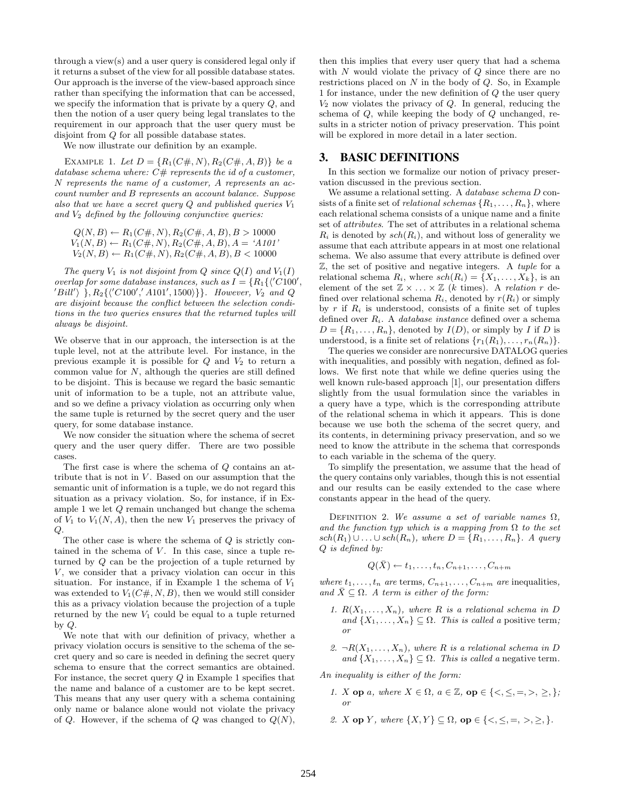through a view(s) and a user query is considered legal only if it returns a subset of the view for all possible database states. Our approach is the inverse of the view-based approach since rather than specifying the information that can be accessed, we specify the information that is private by a query Q, and then the notion of a user query being legal translates to the requirement in our approach that the user query must be disjoint from Q for all possible database states.

We now illustrate our definition by an example.

EXAMPLE 1. Let  $D = \{R_1(C\#, N), R_2(C\#, A, B)\}\$ be a database schema where:  $C#$  represents the id of a customer, N represents the name of a customer, A represents an account number and B represents an account balance. Suppose also that we have a secret query  $Q$  and published queries  $V_1$ and  $V_2$  defined by the following conjunctive queries:

$$
Q(N, B) \leftarrow R_1(C\#, N), R_2(C\#, A, B), B > 10000
$$
  
 
$$
V_1(N, B) \leftarrow R_1(C\#, N), R_2(C\#, A, B), A = 'A101'
$$
  
 
$$
V_2(N, B) \leftarrow R_1(C\#, N), R_2(C\#, A, B), B < 10000
$$

The query  $V_1$  is not disjoint from  $Q$  since  $Q(I)$  and  $V_1(I)$ overlap for some database instances, such as  $I = \{R_1\{\text{'}C100',\}$  $\{Bill'\}\ \}, R_2\{\langle C100', A101', 1500\rangle\}\}.$  However,  $V_2$  and Q are disjoint because the conflict between the selection conditions in the two queries ensures that the returned tuples will always be disjoint.

We observe that in our approach, the intersection is at the tuple level, not at the attribute level. For instance, in the previous example it is possible for  $Q$  and  $V_2$  to return a common value for  $N$ , although the queries are still defined to be disjoint. This is because we regard the basic semantic unit of information to be a tuple, not an attribute value, and so we define a privacy violation as occurring only when the same tuple is returned by the secret query and the user query, for some database instance.

We now consider the situation where the schema of secret query and the user query differ. There are two possible cases.

The first case is where the schema of Q contains an attribute that is not in  $V$ . Based on our assumption that the semantic unit of information is a tuple, we do not regard this situation as a privacy violation. So, for instance, if in Example 1 we let Q remain unchanged but change the schema of  $V_1$  to  $V_1(N, A)$ , then the new  $V_1$  preserves the privacy of  $Q$ .

The other case is where the schema of Q is strictly contained in the schema of  $V$ . In this case, since a tuple returned by Q can be the projection of a tuple returned by  $V$ , we consider that a privacy violation can occur in this situation. For instance, if in Example 1 the schema of  $V_1$ was extended to  $V_1(C\#, N, B)$ , then we would still consider this as a privacy violation because the projection of a tuple returned by the new  $V_1$  could be equal to a tuple returned by Q.

We note that with our definition of privacy, whether a privacy violation occurs is sensitive to the schema of the secret query and so care is needed in defining the secret query schema to ensure that the correct semantics are obtained. For instance, the secret query  $Q$  in Example 1 specifies that the name and balance of a customer are to be kept secret. This means that any user query with a schema containing only name or balance alone would not violate the privacy of Q. However, if the schema of Q was changed to  $Q(N)$ ,

then this implies that every user query that had a schema with  $N$  would violate the privacy of  $Q$  since there are no restrictions placed on  $N$  in the body of  $Q$ . So, in Example 1 for instance, under the new definition of Q the user query  $V_2$  now violates the privacy of  $Q$ . In general, reducing the schema of Q, while keeping the body of Q unchanged, results in a stricter notion of privacy preservation. This point will be explored in more detail in a later section.

## 3. BASIC DEFINITIONS

In this section we formalize our notion of privacy preservation discussed in the previous section.

We assume a relational setting. A *database schema D* consists of a finite set of *relational schemas*  $\{R_1, \ldots, R_n\}$ , where each relational schema consists of a unique name and a finite set of attributes. The set of attributes in a relational schema  $R_i$  is denoted by  $sch(R_i)$ , and without loss of generality we assume that each attribute appears in at most one relational schema. We also assume that every attribute is defined over  $Z$ , the set of positive and negative integers. A tuple for a relational schema  $R_i$ , where  $sch(R_i) = \{X_1, \ldots, X_k\}$ , is an element of the set  $\mathbb{Z} \times ... \times \mathbb{Z}$  (k times). A relation r defined over relational schema  $R_i$ , denoted by  $r(R_i)$  or simply by r if  $R_i$  is understood, consists of a finite set of tuples defined over  $R_i$ . A *database instance* defined over a schema  $D = \{R_1, \ldots, R_n\}$ , denoted by  $I(D)$ , or simply by I if D is understood, is a finite set of relations  $\{r_1(R_1), \ldots, r_n(R_n)\}.$ 

The queries we consider are nonrecursive DATALOG queries with inequalities, and possibly with negation, defined as follows. We first note that while we define queries using the well known rule-based approach [1], our presentation differs slightly from the usual formulation since the variables in a query have a type, which is the corresponding attribute of the relational schema in which it appears. This is done because we use both the schema of the secret query, and its contents, in determining privacy preservation, and so we need to know the attribute in the schema that corresponds to each variable in the schema of the query.

To simplify the presentation, we assume that the head of the query contains only variables, though this is not essential and our results can be easily extended to the case where constants appear in the head of the query.

DEFINITION 2. We assume a set of variable names  $\Omega$ , and the function typ which is a mapping from  $\Omega$  to the set  $sch(R_1) \cup \ldots \cup sch(R_n)$ , where  $D = \{R_1, \ldots, R_n\}$ . A query Q is defined by:

$$
Q(\bar{X}) \leftarrow t_1, \ldots, t_n, C_{n+1}, \ldots, C_{n+m}
$$

where  $t_1, \ldots, t_n$  are terms,  $C_{n+1}, \ldots, C_{n+m}$  are inequalities, and  $\bar{X} \subseteq \Omega$ . A term is either of the form:

- 1.  $R(X_1, \ldots, X_n)$ , where R is a relational schema in D and  $\{X_1, \ldots, X_n\} \subseteq \Omega$ . This is called a positive term; or
- 2.  $\neg R(X_1, \ldots, X_n)$ , where R is a relational schema in D and  $\{X_1, \ldots, X_n\} \subseteq \Omega$ . This is called a negative term.

An inequality is either of the form:

- 1. X op a, where  $X \in \Omega$ ,  $a \in \mathbb{Z}$ , op  $\in \{ \langle \leq, \leq, =, \rangle, \geq, \}$ ; or
- 2. X op Y, where  $\{X, Y\} \subseteq \Omega$ , op  $\in \{<, \leq, =, >, \geq, \}.$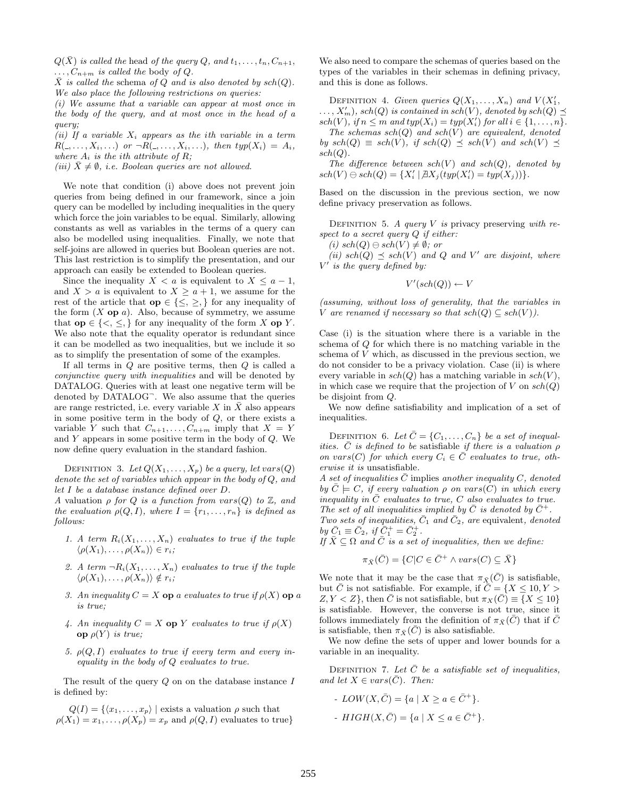$Q(\bar{X})$  is called the head of the query Q, and  $t_1, \ldots, t_n, C_{n+1}$ ,  $\ldots, C_{n+m}$  is called the body of Q.

 $\overline{X}$  is called the schema of Q and is also denoted by sch(Q). We also place the following restrictions on queries:

(i) We assume that a variable can appear at most once in the body of the query, and at most once in the head of a query;

(ii) If a variable  $X_i$  appears as the ith variable in a term  $R(1, \ldots, X_i, \ldots)$  or  $\neg R(1, \ldots, X_i, \ldots)$ , then typ $(X_i) = A_i$ , where  $A_i$  is the ith attribute of R;

(iii)  $\bar{X} \neq \emptyset$ , i.e. Boolean queries are not allowed.

We note that condition (i) above does not prevent join queries from being defined in our framework, since a join query can be modelled by including inequalities in the query which force the join variables to be equal. Similarly, allowing constants as well as variables in the terms of a query can also be modelled using inequalities. Finally, we note that self-joins are allowed in queries but Boolean queries are not. This last restriction is to simplify the presentation, and our approach can easily be extended to Boolean queries.

Since the inequality  $X < a$  is equivalent to  $X \leq a-1$ , and  $X > a$  is equivalent to  $X \ge a + 1$ , we assume for the rest of the article that  $op \in {\leq} , \geq$ , for any inequality of the form  $(X \text{ op } a)$ . Also, because of symmetry, we assume that  $op \in \{<,\leq,\}$  for any inequality of the form X op Y. We also note that the equality operator is redundant since it can be modelled as two inequalities, but we include it so as to simplify the presentation of some of the examples.

If all terms in Q are positive terms, then Q is called a conjunctive query with inequalities and will be denoted by DATALOG. Queries with at least one negative term will be denoted by DATALOG<sup>-</sup>. We also assume that the queries are range restricted, i.e. every variable X in  $\bar{X}$  also appears in some positive term in the body of  $Q$ , or there exists a variable Y such that  $C_{n+1}, \ldots, C_{n+m}$  imply that  $X = Y$ and  $Y$  appears in some positive term in the body of  $Q$ . We now define query evaluation in the standard fashion.

DEFINITION 3. Let  $Q(X_1, \ldots, X_p)$  be a query, let vars(Q) denote the set of variables which appear in the body of Q, and let I be a database instance defined over D.

A valuation  $\rho$  for Q is a function from vars(Q) to  $\mathbb{Z}$ , and the evaluation  $\rho(Q, I)$ , where  $I = \{r_1, \ldots, r_n\}$  is defined as follows:

- 1. A term  $R_i(X_1,\ldots,X_n)$  evaluates to true if the tuple  $\langle \rho(X_1), \ldots, \rho(X_n) \rangle \in r_i;$
- 2. A term  $\neg R_i(X_1,\ldots,X_n)$  evaluates to true if the tuple  $\langle \rho(X_1), \ldots, \rho(X_n) \rangle \notin r_i;$
- 3. An inequality  $C = X$  op a evaluates to true if  $\rho(X)$  op a is true;
- 4. An inequality  $C = X$  op Y evaluates to true if  $\rho(X)$ **op**  $ρ(Y)$  is true;
- 5.  $\rho(Q, I)$  evaluates to true if every term and every inequality in the body of Q evaluates to true.

The result of the query  $Q$  on on the database instance  $I$ is defined by:

 $Q(I) = \{ \langle x_1, \ldots, x_p \rangle \mid \text{exists a valuation } \rho \text{ such that }$  $\rho(X_1) = x_1, \ldots, \rho(X_p) = x_p$  and  $\rho(Q, I)$  evaluates to true}

We also need to compare the schemas of queries based on the types of the variables in their schemas in defining privacy, and this is done as follows.

DEFINITION 4. Given queries  $Q(X_1, \ldots, X_n)$  and  $V(X'_1, \ldots, X_n)$  $\ldots$ ,  $X'_m$ ), sch $(Q)$  is contained in sch $(V)$ , denoted by sch $(Q) \preceq$  $sch(V)$ , if  $n \leq m$  and  $typ(X_i) = typ(X'_i)$  for all  $i \in \{1, ..., n\}$ .

The schemas  $sch(Q)$  and  $sch(V)$  are equivalent, denoted by  $sch(Q) \equiv sch(V)$ , if  $sch(Q) \preceq sch(V)$  and  $sch(V) \preceq$  $sch(Q).$ 

The difference between  $sch(V)$  and  $sch(Q)$ , denoted by  $sch(V) \ominus sch(Q) = \{X'_i \mid \exists X_j(typ(X'_i) = typ(X_j))\}.$ 

Based on the discussion in the previous section, we now define privacy preservation as follows.

DEFINITION 5. A query V is privacy preserving with respect to a secret query  $Q$  if either:

(i)  $sch(Q) \ominus sch(V) \neq \emptyset$ ; or

(ii)  $\operatorname{sch}(Q) \preceq \operatorname{sch}(V)$  and Q and V' are disjoint, where  $V'$  is the query defined by:

$$
V'(sch(Q)) \leftarrow V
$$

(assuming, without loss of generality, that the variables in V are renamed if necessary so that  $sch(Q) \subseteq sch(V)$ ).

Case (i) is the situation where there is a variable in the schema of Q for which there is no matching variable in the schema of V which, as discussed in the previous section, we do not consider to be a privacy violation. Case (ii) is where every variable in  $sch(Q)$  has a matching variable in  $sch(V)$ , in which case we require that the projection of V on  $sch(Q)$ be disjoint from Q.

We now define satisfiability and implication of a set of inequalities.

DEFINITION 6. Let  $\bar{C} = \{C_1, \ldots, C_n\}$  be a set of inequalities.  $\bar{C}$  is defined to be satisfiable if there is a valuation  $\rho$ on vars(C) for which every  $C_i \in \overline{C}$  evaluates to true, otherwise it is unsatisfiable.

A set of inequalities C implies another inequality C, denoted by  $C \models C$ , if every valuation  $\rho$  on vars(C) in which every inequality in  $C$  evaluates to true,  $C$  also evaluates to true. The set of all inequalities implied by  $\overline{C}$  is denoted by  $\overline{C}^+$ . Two sets of inequalities,  $\bar{C}_1$  and  $\bar{C}_2$ , are equivalent, denoted

by  $\bar{C}_1 \equiv \bar{C}_2$ , if  $\bar{C}_1^+ = \bar{C}_2^+$ .

If  $\bar{X} \subseteq \Omega$  and  $\bar{C}$  is a set of inequalities, then we define:

$$
\pi_{\bar{X}}(\bar{C}) = \{ C | C \in \bar{C}^+ \land vars(C) \subseteq \bar{X} \}
$$

We note that it may be the case that  $\pi_{\bar{X}}(C)$  is satisfiable, but  $\overline{C}$  is not satisfiable. For example, if  $\overline{C} = \{X \leq 10, Y >$  $Z, Y \lt Z$ , then  $\overline{C}$  is not satisfiable, but  $\pi_X(\overline{C}) \equiv \{X \leq 10\}$ is satisfiable. However, the converse is not true, since it follows immediately from the definition of  $\pi_{\bar{X}}(\bar{C})$  that if  $\bar{C}$ is satisfiable, then  $\pi_{\bar{X}}(\bar{C})$  is also satisfiable.

We now define the sets of upper and lower bounds for a variable in an inequality.

DEFINITION 7. Let  $\bar{C}$  be a satisfiable set of inequalities, and let  $X \in vars(\bar{C})$ . Then:

- $LOW(X,\bar{C}) = \{a \mid X \ge a \in \bar{C}^+\}.$
- $HIGH(X, \bar{C}) = \{a \mid X \le a \in \bar{C}^+\}.$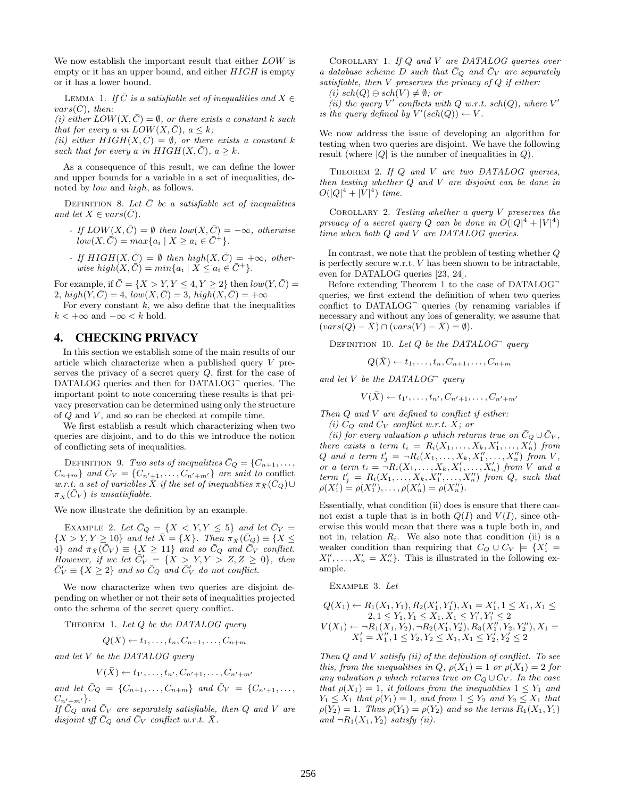We now establish the important result that either LOW is empty or it has an upper bound, and either  $HIGH$  is empty or it has a lower bound.

LEMMA 1. If  $\overline{C}$  is a satisfiable set of inequalities and  $X \in$  $vars(\overline{C})$ , then:

(i) either  $LOW(X,\bar{C}) = \emptyset$ , or there exists a constant k such that for every a in  $LOW(X,\overline{C}), a \leq k$ ;

(ii) either  $HIGH(X, C) = \emptyset$ , or there exists a constant k such that for every a in  $HIGH(X, C)$ ,  $a \geq k$ .

As a consequence of this result, we can define the lower and upper bounds for a variable in a set of inequalities, denoted by low and high, as follows.

DEFINITION 8. Let  $\overline{C}$  be a satisfiable set of inequalities and let  $X \in vars(C)$ .

- If  $LOW(X, \bar{C}) = \emptyset$  then  $low(X, \bar{C}) = -\infty$ , otherwise  $low(X,\bar{C}) = max\{a_i \mid X \geq a_i \in \bar{C}^+\}.$
- If  $HIGH(X, \overline{C}) = \emptyset$  then  $high(X, \overline{C}) = +\infty$ , otherwise high $(X,\overline{C}) = min\{a_i \mid X \leq a_i \in \overline{C}^+\}.$

For example, if  $\overline{C} = \{X > Y, Y \leq 4, Y \geq 2\}$  then  $low(Y, \overline{C}) =$ 2,  $high(Y, \overline{C}) = 4$ ,  $low(X, \overline{C}) = 3$ ,  $high(X, \overline{C}) = +\infty$ 

For every constant  $k$ , we also define that the inequalities  $k < +\infty$  and  $-\infty < k$  hold.

## 4. CHECKING PRIVACY

In this section we establish some of the main results of our article which characterize when a published query V preserves the privacy of a secret query  $Q$ , first for the case of DATALOG queries and then for DATALOG<sup>-</sup> queries. The important point to note concerning these results is that privacy preservation can be determined using only the structure of  $Q$  and  $V$ , and so can be checked at compile time.

We first establish a result which characterizing when two queries are disjoint, and to do this we introduce the notion of conflicting sets of inequalities.

DEFINITION 9. Two sets of inequalities  $\bar{C}_Q = \{C_{n+1}, \ldots,$  $C_{n+m}$  and  $\bar{C}_V = \{C_{n'+1}, \ldots, C_{n'+m'}\}$  are said to conflict w.r.t. a set of variables  $\overline{X}$  if the set of inequalities  $\pi_{\overline{X}}(\overline{C}_Q) \cup$  $\pi_{\bar{X}}(\bar{C}_V)$  is unsatisfiable.

We now illustrate the definition by an example.

EXAMPLE 2. Let  $\bar{C}_Q = \{X \leq Y, Y \leq 5\}$  and let  $\bar{C}_V =$  $\{X > Y, Y \geq 10\}$  and let  $\overline{X} = \{X\}$ . Then  $\pi_{\overline{X}}(\overline{C}_Q) \equiv \{X \leq$ 4} and  $\pi_{\bar{X}}(\bar{C}_V) \equiv \{X \geq 11\}$  and so  $\bar{C}_Q$  and  $\bar{C}_V$  conflict. However, if we let  $\overline{C'_V} = \{X \ge Y, Y \ge Z, Z \ge 0\}$ , then  $\bar{C}_V' \equiv \{ X \geq 2 \}$  and so  $\bar{C}_Q$  and  $\bar{C}_V'$  do not conflict.

We now characterize when two queries are disjoint depending on whether or not their sets of inequalities projected onto the schema of the secret query conflict.

THEOREM 1. Let  $Q$  be the DATALOG query

$$
Q(\bar{X}) \leftarrow t_1, \ldots, t_n, C_{n+1}, \ldots, C_{n+m}
$$

and let V be the DATALOG query

$$
V(\bar{X}) \leftarrow t_{1'}, \dots, t_{n'}, C_{n'+1}, \dots, C_{n'+m'}
$$

and let  $\bar{C}_Q = \{C_{n+1}, \ldots, C_{n+m}\}\$  and  $\bar{C}_V = \{C_{n'+1}, \ldots, C_{n+m}\}\$  $C_{n'\pm m'}\}.$ 

If  $\overline{C}_Q$  and  $\overline{C}_V$  are separately satisfiable, then  $Q$  and  $V$  are disjoint iff  $\bar{C}_Q$  and  $\bar{C}_V$  conflict w.r.t.  $\bar{X}$ .

COROLLARY 1. If Q and V are DATALOG queries over a database scheme D such that  $\bar{C}_Q$  and  $\bar{C}_V$  are separately satisfiable, then  $V$  preserves the privacy of  $Q$  if either:

(i)  $sch(Q) \ominus sch(V) \neq \emptyset$ ; or

(ii) the query V' conflicts with Q w.r.t. sch(Q), where  $V'$ is the query defined by  $V'(sch(Q)) \leftarrow V$ .

We now address the issue of developing an algorithm for testing when two queries are disjoint. We have the following result (where  $|Q|$  is the number of inequalities in  $Q$ ).

THEOREM 2. If Q and V are two DATALOG queries, then testing whether Q and V are disjoint can be done in  $O(|Q|^4 + |V|^4)$  time.

COROLLARY 2. Testing whether a query  $V$  preserves the privacy of a secret query Q can be done in  $O(|Q|^4 + |V|^4)$ time when both Q and V are DATALOG queries.

In contrast, we note that the problem of testing whether Q is perfectly secure w.r.t. V has been shown to be intractable, even for DATALOG queries [23, 24].

Before extending Theorem 1 to the case of DATALOG queries, we first extend the definition of when two queries conflict to DATALOG<sup>-</sup> queries (by renaming variables if necessary and without any loss of generality, we assume that  $(vars(Q) - \overline{X}) \cap (vars(V) - \overline{X}) = \emptyset).$ 

DEFINITION 10. Let  $Q$  be the DATALOG<sup>-</sup> query

 $Q(\bar{X}) \leftarrow t_1, \ldots, t_n, C_{n+1}, \ldots, C_{n+m}$ 

and let  $V$  be the DATALOG<sup> $\gamma$ </sup> query

$$
V(\bar{X}) \leftarrow t_{1'}, \ldots, t_{n'}, C_{n'+1}, \ldots, C_{n'+m'}
$$

Then Q and V are defined to conflict if either: (i)  $\bar{C}_Q$  and  $\bar{C}_V$  conflict w.r.t.  $\bar{X}$ ; or

(ii) for every valuation  $\rho$  which returns true on  $\overline{C}_Q \cup \overline{C}_V$ , there exists a term  $t_i = R_i(X_1, \ldots, X_k, X'_1, \ldots, X'_n)$  from Q and a term  $t'_j = \neg R_i(X_1, \ldots, X_k, X''_1, \ldots, X''_n)$  from V, or a term  $t_i = \neg R_i(X_1, \ldots, X_k, X'_1, \ldots, X'_n)$  from V and a term  $t'_j = R_i(X_1, \ldots, X_k, X''_1, \ldots, X''_n)$  from  $Q$ , such that  $\rho(X_1') = \rho(X_1''), \ldots, \rho(X_n') = \rho(X_n'').$ 

Essentially, what condition (ii) does is ensure that there cannot exist a tuple that is in both  $Q(I)$  and  $V(I)$ , since otherwise this would mean that there was a tuple both in, and not in, relation  $R_i$ . We also note that condition (ii) is a weaker condition than requiring that  $C_Q \cup C_V \models \{X'_1 =$  $X_1'', \ldots, X_n' = X_n''\}.$  This is illustrated in the following example.

Example 3. Let

$$
Q(X_1) \leftarrow R_1(X_1, Y_1), R_2(X'_1, Y'_1), X_1 = X'_1, 1 \le X_1, X_1 \le 2, 1 \le Y_1, Y_1 \le X_1, X_1 \le Y'_1, Y'_1 \le 2 V(X_1) \leftarrow \neg R_1(X_1, Y_2), \neg R_2(X'_1, Y'_2), R_3(X''_1, Y_2, Y''_2), X_1 = X'_1 = X''_1, 1 \le Y_2, Y_2 \le X_1, X_1 \le Y'_2, Y'_2 \le 2
$$

Then  $Q$  and  $V$  satisfy (ii) of the definition of conflict. To see this, from the inequalities in Q,  $\rho(X_1) = 1$  or  $\rho(X_1) = 2$  for any valuation  $\rho$  which returns true on  $C_Q \cup C_V$ . In the case that  $\rho(X_1) = 1$ , it follows from the inequalities  $1 \le Y_1$  and  $Y_1 \leq X_1$  that  $\rho(Y_1) = 1$ , and from  $1 \leq Y_2$  and  $Y_2 \leq X_1$  that  $\rho(Y_2) = 1$ . Thus  $\rho(Y_1) = \rho(Y_2)$  and so the terms  $R_1(X_1, Y_1)$ and  $\neg R_1(X_1, Y_2)$  satisfy (ii).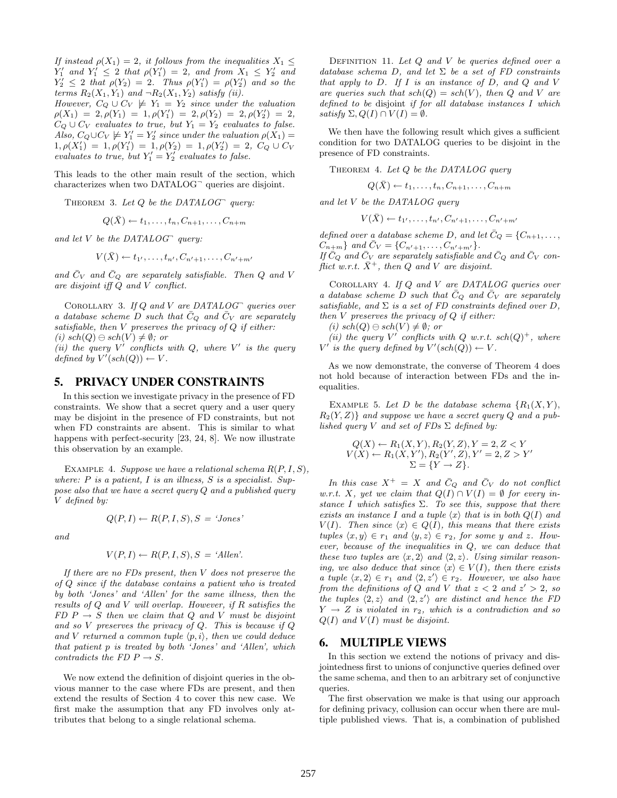If instead  $\rho(X_1) = 2$ , it follows from the inequalities  $X_1 \leq$  $Y'_1$  and  $Y'_1 \leq 2$  that  $\rho(Y'_1) = 2$ , and from  $X_1 \leq Y'_2$  and  $Y'_2 \leq 2$  that  $\rho(Y_2) = 2$ . Thus  $\rho(Y'_1) = \rho(Y'_2)$  and so the terms  $R_2(X_1, Y_1)$  and  $\neg R_2(X_1, Y_2)$  satisfy (ii).

However,  $C_Q \cup C_V \not\models Y_1 = Y_2$  since under the valuation  $\rho(X_1) = 2, \rho(Y_1) = 1, \rho(Y_1') = 2, \rho(Y_2) = 2, \rho(Y_2') = 2,$  $C_Q \cup C_V$  evaluates to true, but  $Y_1 = Y_2$  evaluates to false. Also,  $C_Q \cup C_V \not\models Y_1' = Y_2'$  since under the valuation  $\rho(X_1) =$  $1, \rho(X'_1) = 1, \rho(Y'_1) = 1, \rho(Y_2) = 1, \rho(Y'_2) = 2, C_Q \cup C_V$ evaluates to true, but  $Y'_1 = Y'_2$  evaluates to false.

This leads to the other main result of the section, which characterizes when two DATALOG<sup>-</sup> queries are disjoint.

THEOREM 3. Let  $Q$  be the DATALOG<sup> $\Box$ </sup> query:

$$
Q(\bar{X}) \leftarrow t_1, \ldots, t_n, C_{n+1}, \ldots, C_{n+m}
$$

and let  $V$  be the DATALOG<sup> $\Box$ </sup> query:

$$
V(\bar{X}) \leftarrow t_{1'},\ldots,t_{n'},C_{n'+1},\ldots,C_{n'+m'}
$$

and  $\bar{C}_V$  and  $\bar{C}_Q$  are separately satisfiable. Then Q and V are disjoint iff Q and V conflict.

COROLLARY 3. If  $Q$  and  $V$  are DATALOG<sup> $\lnot$ </sup> queries over a database scheme D such that  $\overline{C}_Q$  and  $\overline{C}_V$  are separately satisfiable, then  $V$  preserves the privacy of  $Q$  if either: (i)  $sch(Q) \ominus sch(V) \neq \emptyset$ ; or

(ii) the query  $V'$  conflicts with  $Q$ , where  $V'$  is the query defined by  $V'(sch(Q)) \leftarrow V$ .

## 5. PRIVACY UNDER CONSTRAINTS

In this section we investigate privacy in the presence of FD constraints. We show that a secret query and a user query may be disjoint in the presence of FD constraints, but not when FD constraints are absent. This is similar to what happens with perfect-security [23, 24, 8]. We now illustrate this observation by an example.

EXAMPLE 4. Suppose we have a relational schema  $R(P, I, S)$ , where:  $P$  is a patient,  $I$  is an illness,  $S$  is a specialist. Suppose also that we have a secret query Q and a published query V defined by:

and

$$
V(P, I) \leftarrow R(P, I, S), S = 'Allen'.
$$

 $Q(P, I) \leftarrow R(P, I, S), S = 'Jones'$ 

If there are no FDs present, then V does not preserve the of Q since if the database contains a patient who is treated by both 'Jones' and 'Allen' for the same illness, then the results of Q and V will overlap. However, if R satisfies the  $FD \, P \rightarrow S$  then we claim that Q and V must be disjoint and so  $V$  preserves the privacy of  $Q$ . This is because if  $Q$ and V returned a common tuple  $\langle p, i \rangle$ , then we could deduce that patient p is treated by both 'Jones' and 'Allen', which contradicts the FD  $P \rightarrow S$ .

We now extend the definition of disjoint queries in the obvious manner to the case where FDs are present, and then extend the results of Section 4 to cover this new case. We first make the assumption that any FD involves only attributes that belong to a single relational schema.

DEFINITION 11. Let  $Q$  and  $V$  be queries defined over a database schema D, and let  $\Sigma$  be a set of FD constraints that apply to  $D$ . If  $I$  is an instance of  $D$ , and  $Q$  and  $V$ are queries such that  $sch(Q) = sch(V)$ , then Q and V are defined to be disjoint if for all database instances I which satisfy  $\Sigma$ ,  $Q(I) \cap V(I) = \emptyset$ .

We then have the following result which gives a sufficient condition for two DATALOG queries to be disjoint in the presence of FD constraints.

THEOREM 4. Let  $Q$  be the DATALOG query

 $Q(\bar{X}) \leftarrow t_1, \ldots, t_n, C_{n+1}, \ldots, C_{n+m}$ 

and let V be the DATALOG query

$$
V(\bar{X}) \leftarrow t_1, \ldots, t_{n'}, C_{n'+1}, \ldots, C_{n'+m'}
$$

defined over a database scheme D, and let  $\bar{C}_Q = \{C_{n+1}, \ldots, C_{n+1}, \ldots, C_{n+1}\}$  $C_{n+m}$  and  $\bar{C}_V = \{C_{n'+1}, \ldots, C_{n'+m'}\}.$ If  $\bar{C}_Q$  and  $\bar{C}_V$  are separately satisfiable and  $\bar{C}_Q$  and  $\bar{C}_V$  conflict w.r.t.  $\bar{X}^+$ , then Q and V are disjoint.

Corollary 4. If Q and V are DATALOG queries over a database scheme D such that  $\overline{C}_Q$  and  $\overline{C}_V$  are separately satisfiable, and  $\Sigma$  is a set of FD constraints defined over D, then  $V$  preserves the privacy of  $Q$  if either:

(i)  $sch(Q) \ominus sch(V) \neq \emptyset$ ; or

(ii) the query V' conflicts with Q w.r.t.  $sch(Q)^+$ , where  $V'$  is the query defined by  $V'(sch(Q)) \leftarrow V$ .

As we now demonstrate, the converse of Theorem 4 does not hold because of interaction between FDs and the inequalities.

EXAMPLE 5. Let D be the database schema  $\{R_1(X, Y),\}$  $R_2(Y, Z)$  and suppose we have a secret query Q and a published query V and set of FDs  $\Sigma$  defined by:

$$
Q(X) \leftarrow R_1(X, Y), R_2(Y, Z), Y = 2, Z < Y
$$
\n
$$
V(X) \leftarrow R_1(X, Y'), R_2(Y', Z), Y' = 2, Z > Y'
$$
\n
$$
\Sigma = \{Y \rightarrow Z\}.
$$

In this case  $X^+ = X$  and  $\overline{C}_Q$  and  $\overline{C}_V$  do not conflict w.r.t. X, yet we claim that  $Q(I) \cap V(I) = \emptyset$  for every instance I which satisfies  $\Sigma$ . To see this, suppose that there exists an instance I and a tuple  $\langle x \rangle$  that is in both  $Q(I)$  and  $V(I)$ . Then since  $\langle x \rangle \in Q(I)$ , this means that there exists tuples  $\langle x, y \rangle \in r_1$  and  $\langle y, z \rangle \in r_2$ , for some y and z. However, because of the inequalities in Q, we can deduce that these two tuples are  $\langle x, 2 \rangle$  and  $\langle 2, z \rangle$ . Using similar reasoning, we also deduce that since  $\langle x \rangle \in V(I)$ , then there exists a tuple  $\langle x, 2 \rangle \in r_1$  and  $\langle 2, z' \rangle \in r_2$ . However, we also have from the definitions of Q and V that  $z < 2$  and  $z' > 2$ , so the tuples  $\langle 2, z \rangle$  and  $\langle 2, z' \rangle$  are distinct and hence the FD  $Y \rightarrow Z$  is violated in  $r_2$ , which is a contradiction and so  $Q(I)$  and  $V(I)$  must be disjoint.

## 6. MULTIPLE VIEWS

In this section we extend the notions of privacy and disjointedness first to unions of conjunctive queries defined over the same schema, and then to an arbitrary set of conjunctive queries.

The first observation we make is that using our approach for defining privacy, collusion can occur when there are multiple published views. That is, a combination of published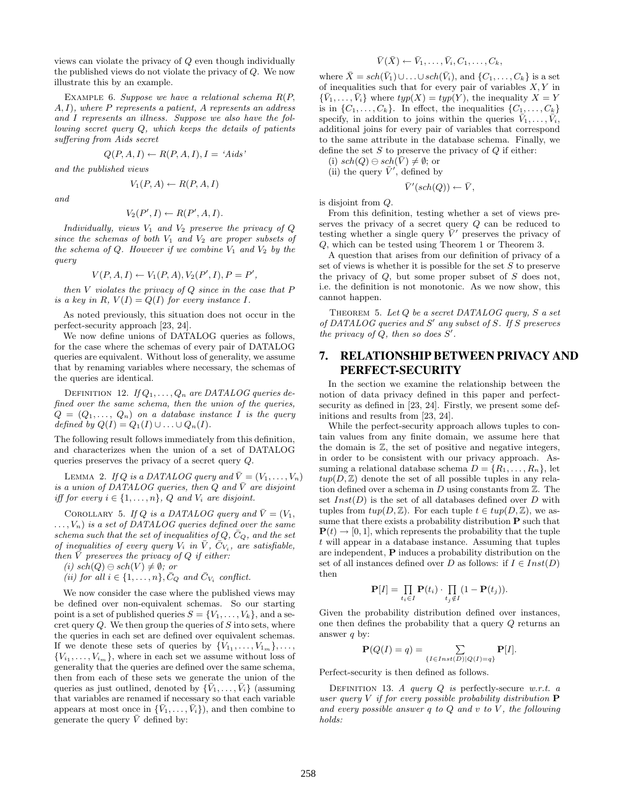views can violate the privacy of Q even though individually the published views do not violate the privacy of Q. We now illustrate this by an example.

EXAMPLE 6. Suppose we have a relational schema  $R(P,$  $A, I$ , where P represents a patient, A represents an address and I represents an illness. Suppose we also have the following secret query Q, which keeps the details of patients suffering from Aids secret

$$
Q(P, A, I) \leftarrow R(P, A, I), I = 'Aids'
$$

and the published views

$$
V_1(P, A) \leftarrow R(P, A, I)
$$

and

$$
V_2(P', I) \leftarrow R(P', A, I).
$$

Individually, views  $V_1$  and  $V_2$  preserve the privacy of  $Q$ since the schemas of both  $V_1$  and  $V_2$  are proper subsets of the schema of Q. However if we combine  $V_1$  and  $V_2$  by the query

$$
V(P, A, I) \leftarrow V_1(P, A), V_2(P', I), P = P',
$$

then  $V$  violates the privacy of  $Q$  since in the case that  $P$ is a key in R,  $V(I) = Q(I)$  for every instance I.

As noted previously, this situation does not occur in the perfect-security approach [23, 24].

We now define unions of DATALOG queries as follows, for the case where the schemas of every pair of DATALOG queries are equivalent. Without loss of generality, we assume that by renaming variables where necessary, the schemas of the queries are identical.

DEFINITION 12. If  $Q_1, \ldots, Q_n$  are DATALOG queries defined over the same schema, then the union of the queries,  $Q = (Q_1, \ldots, Q_n)$  on a database instance I is the query defined by  $Q(I) = Q_1(I) \cup \ldots \cup Q_n(I)$ .

The following result follows immediately from this definition, and characterizes when the union of a set of DATALOG queries preserves the privacy of a secret query Q.

LEMMA 2. If Q is a DATALOG query and  $\overline{V} = (V_1, \ldots, V_n)$ is a union of DATALOG queries, then  $Q$  and  $\overline{V}$  are disjoint iff for every  $i \in \{1, \ldots, n\}$ , Q and  $V_i$  are disjoint.

COROLLARY 5. If Q is a DATALOG query and  $\overline{V} = (V_1, V_2)$  $\dots, V_n$ ) is a set of DATALOG queries defined over the same schema such that the set of inequalities of  $Q, \bar{C}_Q$ , and the set of inequalities of every query  $V_i$  in  $\overline{V}$ ,  $\overline{C_{V_i}}$ , are satisfiable, then  $\overline{V}$  preserves the privacy of Q if either:

(i) 
$$
sch(Q) \ominus sch(V) \neq \emptyset
$$
; or

(*ii*) for all  $i \in \{1, \ldots, n\}$ ,  $\bar{C}_Q$  and  $\bar{C}_{V_i}$  conflict.

We now consider the case where the published views may be defined over non-equivalent schemas. So our starting point is a set of published queries  $S = \{V_1, \ldots, V_k\}$ , and a secret query  $Q$ . We then group the queries of  $S$  into sets, where the queries in each set are defined over equivalent schemas. If we denote these sets of queries by  $\{V_{1},\ldots,V_{1_m}\},\ldots$ ,  ${V_{i_1}, \ldots, V_{i_m}}$ , where in each set we assume without loss of generality that the queries are defined over the same schema, then from each of these sets we generate the union of the queries as just outlined, denoted by  $\{V_1, \ldots, V_i\}$  (assuming that variables are renamed if necessary so that each variable appears at most once in  $\{\bar{V}_1, \ldots, \bar{V}_i\}$ , and then combine to generate the query  $\bar{V}$  defined by:

$$
\bar{V}(\bar{X}) \leftarrow \bar{V}_1, \ldots, \bar{V}_i, C_1, \ldots, C_k,
$$

where  $\bar{X} = sch(\bar{V}_1) \cup \ldots \cup sch(\bar{V}_i)$ , and  $\{C_1, \ldots, C_k\}$  is a set of inequalities such that for every pair of variables  $X, Y$  in  $\{\bar{V}_1,\ldots,\bar{V}_i\}$  where  $typ(X) = typ(Y)$ , the inequality  $X = Y$ is in  $\{C_1, \ldots, C_k\}$ . In effect, the inequalities  $\{C_1, \ldots, C_k\}$ specify, in addition to joins within the queries  $\bar{V}_1, \ldots, \bar{V}_i$ , additional joins for every pair of variables that correspond to the same attribute in the database schema. Finally, we define the set  $S$  to preserve the privacy of  $Q$  if either:

(i)  $sch(Q) \ominus sch(\bar{V}) \neq \emptyset$ ; or

(ii) the query  $\bar{V}'$ , defined by

$$
\bar{V}'(sch(Q)) \leftarrow \bar{V},
$$

is disjoint from Q.

From this definition, testing whether a set of views preserves the privacy of a secret query Q can be reduced to testing whether a single query  $\bar{V}'$  preserves the privacy of Q, which can be tested using Theorem 1 or Theorem 3.

A question that arises from our definition of privacy of a set of views is whether it is possible for the set  $S$  to preserve the privacy of  $Q$ , but some proper subset of  $S$  does not, i.e. the definition is not monotonic. As we now show, this cannot happen.

THEOREM 5. Let  $Q$  be a secret DATALOG query,  $S$  a set of DATALOG queries and  $S'$  any subset of S. If S preserves the privacy of  $Q$ , then so does  $S'$ .

## 7. RELATIONSHIP BETWEEN PRIVACY AND PERFECT-SECURITY

In the section we examine the relationship between the notion of data privacy defined in this paper and perfectsecurity as defined in [23, 24]. Firstly, we present some definitions and results from [23, 24].

While the perfect-security approach allows tuples to contain values from any finite domain, we assume here that the domain is  $Z$ , the set of positive and negative integers, in order to be consistent with our privacy approach. Assuming a relational database schema  $D = \{R_1, \ldots, R_n\}$ , let  $twp(D, \mathbb{Z})$  denote the set of all possible tuples in any relation defined over a schema in D using constants from  $\mathbb{Z}$ . The set  $Inst(D)$  is the set of all databases defined over D with tuples from  $twp(D, \mathbb{Z})$ . For each tuple  $t \in tup(D, \mathbb{Z})$ , we assume that there exists a probability distribution  $P$  such that  $P(t) \rightarrow [0, 1]$ , which represents the probability that the tuple t will appear in a database instance. Assuming that tuples are independent, P induces a probability distribution on the set of all instances defined over D as follows: if  $I \in Inst(D)$ then

$$
\mathbf{P}[I] = \prod_{t_i \in I} \mathbf{P}(t_i) \cdot \prod_{t_j \notin I} (1 - \mathbf{P}(t_j)).
$$

Given the probability distribution defined over instances, one then defines the probability that a query Q returns an answer q by:

$$
\mathbf{P}(Q(I) = q) = \sum_{\{I \in Inst(D) \mid Q(I) = q\}} \mathbf{P}[I].
$$

Perfect-security is then defined as follows.

DEFINITION 13. A query  $Q$  is perfectly-secure w.r.t. a user query  $V$  if for every possible probability distribution  $P$ and every possible answer  $q$  to  $Q$  and  $v$  to  $V$ , the following holds: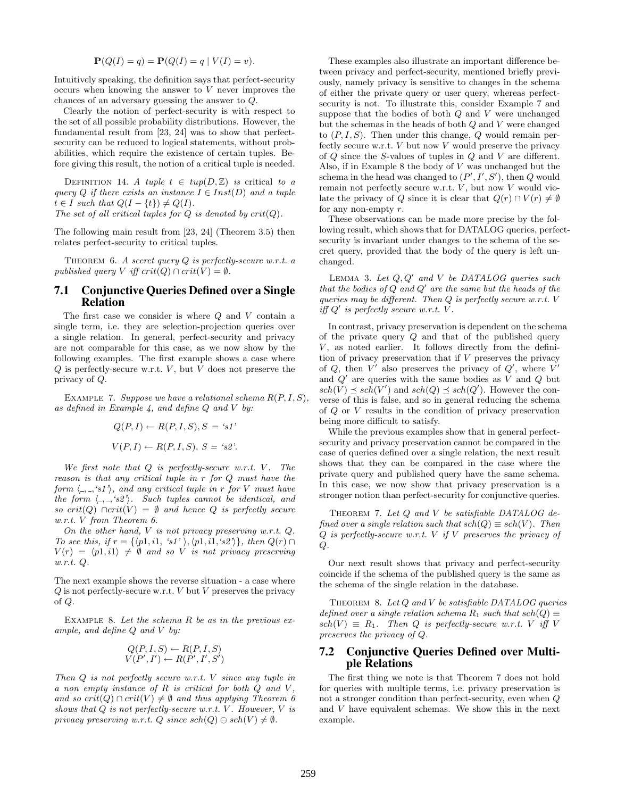$$
\mathbf{P}(Q(I) = q) = \mathbf{P}(Q(I) = q | V(I) = v).
$$

Intuitively speaking, the definition says that perfect-security occurs when knowing the answer to  $V$  never improves the chances of an adversary guessing the answer to Q.

Clearly the notion of perfect-security is with respect to the set of all possible probability distributions. However, the fundamental result from [23, 24] was to show that perfectsecurity can be reduced to logical statements, without probabilities, which require the existence of certain tuples. Before giving this result, the notion of a critical tuple is needed.

DEFINITION 14. A tuple  $t \in \text{tmp}(D, \mathbb{Z})$  is critical to a query Q if there exists an instance  $I \in Inst(D)$  and a tuple  $t \in I$  such that  $Q(I - \{t\}) \neq Q(I)$ . The set of all critical tuples for  $Q$  is denoted by  $crit(Q)$ .

The following main result from [23, 24] (Theorem 3.5) then relates perfect-security to critical tuples.

THEOREM 6. A secret query  $Q$  is perfectly-secure w.r.t. a published query V iff  $crit(Q) \cap crit(V) = \emptyset$ .

## 7.1 Conjunctive Queries Defined over a Single Relation

The first case we consider is where  $Q$  and  $V$  contain a single term, i.e. they are selection-projection queries over a single relation. In general, perfect-security and privacy are not comparable for this case, as we now show by the following examples. The first example shows a case where  $Q$  is perfectly-secure w.r.t.  $V$ , but  $V$  does not preserve the privacy of Q.

EXAMPLE 7. Suppose we have a relational schema  $R(P, I, S)$ , as defined in Example 4, and define  $Q$  and  $V$  by:

$$
Q(P, I) \leftarrow R(P, I, S), S = 's1'
$$
  

$$
V(P, I) \leftarrow R(P, I, S), S = 's2'
$$

We first note that  $Q$  is perfectly-secure w.r.t.  $V$ . The reason is that any critical tuple in r for Q must have the form  $\langle \_, \_, \rangle$ , and any critical tuple in r for V must have the form  $\langle -, -, 's2' \rangle$ . Such tuples cannot be identical, and so crit(Q) ∩crit(V) =  $\emptyset$  and hence Q is perfectly secure w.r.t. V from Theorem 6.

On the other hand,  $V$  is not privacy preserving w.r.t.  $Q$ . To see this, if  $r = \{ \langle p1, i1, 's1' \rangle, \langle p1, i1, 's2' \rangle \}$ , then  $Q(r) \cap$  $V(r) = \langle p1, i1 \rangle \neq \emptyset$  and so V is not privacy preserving w.r.t. Q.

The next example shows the reverse situation - a case where  $Q$  is not perfectly-secure w.r.t.  $V$  but  $V$  preserves the privacy of Q.

EXAMPLE 8. Let the schema  $R$  be as in the previous example, and define  $Q$  and  $V$  by:

$$
Q(P, I, S) \leftarrow R(P, I, S)
$$
  

$$
V(P', I') \leftarrow R(P', I', S')
$$

Then Q is not perfectly secure w.r.t. V since any tuple in a non empty instance of  $R$  is critical for both  $Q$  and  $V$ , and so  $crit(Q) \cap crit(V) \neq \emptyset$  and thus applying Theorem 6 shows that  $Q$  is not perfectly-secure w.r.t.  $V$ . However,  $V$  is privacy preserving w.r.t.  $Q$  since  $sch(Q) \ominus sch(V) \neq \emptyset$ .

These examples also illustrate an important difference between privacy and perfect-security, mentioned briefly previously, namely privacy is sensitive to changes in the schema of either the private query or user query, whereas perfectsecurity is not. To illustrate this, consider Example 7 and suppose that the bodies of both  $Q$  and  $V$  were unchanged but the schemas in the heads of both Q and V were changed to  $(P, I, S)$ . Then under this change, Q would remain perfectly secure w.r.t.  $V$  but now  $V$  would preserve the privacy of Q since the S-values of tuples in Q and V are different. Also, if in Example 8 the body of V was unchanged but the schema in the head was changed to  $(P', I', S')$ , then  $Q$  would remain not perfectly secure w.r.t.  $V$ , but now  $V$  would violate the privacy of Q since it is clear that  $Q(r) \cap V(r) \neq \emptyset$ for any non-empty r.

These observations can be made more precise by the following result, which shows that for DATALOG queries, perfectsecurity is invariant under changes to the schema of the secret query, provided that the body of the query is left unchanged.

LEMMA 3. Let  $Q, Q'$  and V be DATALOG queries such that the bodies of  $Q$  and  $Q'$  are the same but the heads of the queries may be different. Then  $Q$  is perfectly secure w.r.t.  $V$ iff  $Q'$  is perfectly secure w.r.t.  $V$ .

In contrast, privacy preservation is dependent on the schema of the private query Q and that of the published query  $V$ , as noted earlier. It follows directly from the definition of privacy preservation that if  $V$  preserves the privacy of  $Q$ , then  $V'$  also preserves the privacy of  $Q'$ , where  $V'$ and  $Q'$  are queries with the same bodies as V and  $Q$  but  $sch(V) \preceq sch(V')$  and  $sch(Q) \preceq sch(Q')$ . However the converse of this is false, and so in general reducing the schema of Q or V results in the condition of privacy preservation being more difficult to satisfy.

While the previous examples show that in general perfectsecurity and privacy preservation cannot be compared in the case of queries defined over a single relation, the next result shows that they can be compared in the case where the private query and published query have the same schema. In this case, we now show that privacy preservation is a stronger notion than perfect-security for conjunctive queries.

THEOREM 7. Let Q and V be satisfiable DATALOG defined over a single relation such that  $sch(Q) \equiv sch(V)$ . Then  $Q$  is perfectly-secure w.r.t. V if V preserves the privacy of  $Q$ .

Our next result shows that privacy and perfect-security coincide if the schema of the published query is the same as the schema of the single relation in the database.

THEOREM 8. Let  $Q$  and  $V$  be satisfiable DATALOG queries defined over a single relation schema  $R_1$  such that  $sch(Q) \equiv$  $sch(V) \equiv R_1$ . Then Q is perfectly-secure w.r.t. V iff V preserves the privacy of Q.

## 7.2 Conjunctive Queries Defined over Multiple Relations

The first thing we note is that Theorem 7 does not hold for queries with multiple terms, i.e. privacy preservation is not a stronger condition than perfect-security, even when Q and V have equivalent schemas. We show this in the next example.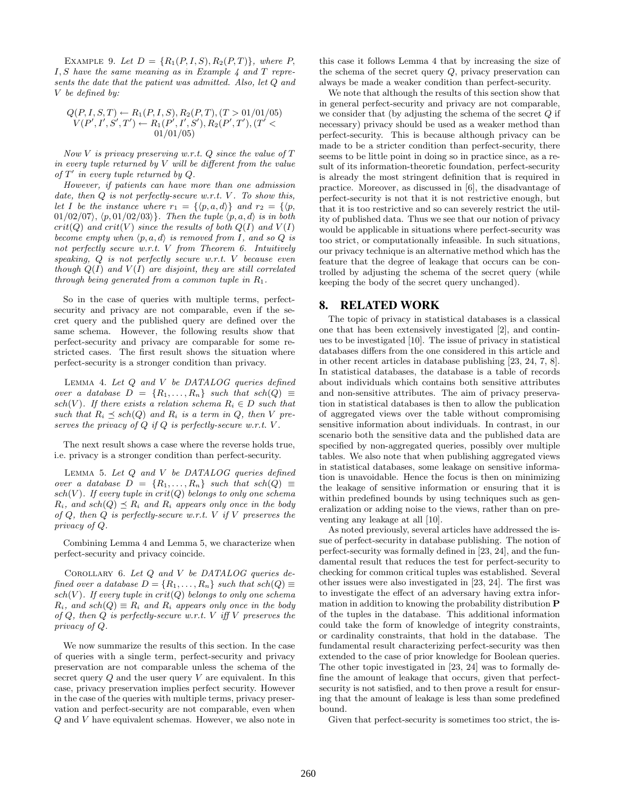EXAMPLE 9. Let  $D = \{R_1(P, I, S), R_2(P, T)\}\$ , where P,  $I, S$  have the same meaning as in Example 4 and  $T$  represents the date that the patient was admitted. Also, let Q and V be defined by:

$$
Q(P, I, S, T) \leftarrow R_1(P, I, S), R_2(P, T), (T > 01/01/05)
$$
  

$$
V(P', I', S', T') \leftarrow R_1(P', I', S'), R_2(P', T'), (T' < 01/01/05)
$$

Now  $V$  is privacy preserving w.r.t.  $Q$  since the value of  $T$ in every tuple returned by  $V$  will be different from the value of  $T'$  in every tuple returned by  $Q$ .

However, if patients can have more than one admission date, then  $Q$  is not perfectly-secure w.r.t.  $V$ . To show this, let I be the instance where  $r_1 = \{ \langle p, a, d \rangle \}$  and  $r_2 = \{ \langle p, d \rangle \}$ 01/02/07),  $\langle p, 01/02/03 \rangle$ . Then the tuple  $\langle p, a, d \rangle$  is in both  $crit(Q)$  and  $crit(V)$  since the results of both  $Q(I)$  and  $V(I)$ become empty when  $\langle p, a, d \rangle$  is removed from I, and so Q is not perfectly secure w.r.t. V from Theorem 6. Intuitively speaking,  $Q$  is not perfectly secure w.r.t. V because even though  $Q(I)$  and  $V(I)$  are disjoint, they are still correlated through being generated from a common tuple in  $R_1$ .

So in the case of queries with multiple terms, perfectsecurity and privacy are not comparable, even if the secret query and the published query are defined over the same schema. However, the following results show that perfect-security and privacy are comparable for some restricted cases. The first result shows the situation where perfect-security is a stronger condition than privacy.

LEMMA 4. Let  $Q$  and  $V$  be DATALOG queries defined over a database  $D = \{R_1, \ldots, R_n\}$  such that  $sch(Q) \equiv$ sch(V). If there exists a relation schema  $R_i \in D$  such that such that  $R_i \preceq sch(Q)$  and  $R_i$  is a term in Q, then V preserves the privacy of  $Q$  if  $Q$  is perfectly-secure w.r.t.  $V$ .

The next result shows a case where the reverse holds true, i.e. privacy is a stronger condition than perfect-security.

LEMMA 5. Let  $Q$  and  $V$  be DATALOG queries defined over a database  $D = \{R_1, \ldots, R_n\}$  such that  $sch(Q) \equiv$ sch(V). If every tuple in  $crit(Q)$  belongs to only one schema  $R_i$ , and sch $(Q) \preceq R_i$  and  $R_i$  appears only once in the body of  $Q$ , then  $Q$  is perfectly-secure w.r.t.  $V$  if  $V$  preserves the privacy of Q.

Combining Lemma 4 and Lemma 5, we characterize when perfect-security and privacy coincide.

COROLLARY 6. Let  $Q$  and  $V$  be DATALOG queries defined over a database  $D = \{R_1, \ldots, R_n\}$  such that  $sch(Q) \equiv$ sch(V). If every tuple in  $crit(Q)$  belongs to only one schema  $R_i$ , and  $sch(Q) \equiv R_i$  and  $R_i$  appears only once in the body of  $Q$ , then  $Q$  is perfectly-secure w.r.t.  $V$  iff  $V$  preserves the privacy of Q.

We now summarize the results of this section. In the case of queries with a single term, perfect-security and privacy preservation are not comparable unless the schema of the secret query  $Q$  and the user query  $V$  are equivalent. In this case, privacy preservation implies perfect security. However in the case of the queries with multiple terms, privacy preservation and perfect-security are not comparable, even when Q and V have equivalent schemas. However, we also note in this case it follows Lemma 4 that by increasing the size of the schema of the secret query Q, privacy preservation can always be made a weaker condition than perfect-security.

We note that although the results of this section show that in general perfect-security and privacy are not comparable, we consider that (by adjusting the schema of the secret  $Q$  if necessary) privacy should be used as a weaker method than perfect-security. This is because although privacy can be made to be a stricter condition than perfect-security, there seems to be little point in doing so in practice since, as a result of its information-theoretic foundation, perfect-security is already the most stringent definition that is required in practice. Moreover, as discussed in [6], the disadvantage of perfect-security is not that it is not restrictive enough, but that it is too restrictive and so can severely restrict the utility of published data. Thus we see that our notion of privacy would be applicable in situations where perfect-security was too strict, or computationally infeasible. In such situations, our privacy technique is an alternative method which has the feature that the degree of leakage that occurs can be controlled by adjusting the schema of the secret query (while keeping the body of the secret query unchanged).

## 8. RELATED WORK

The topic of privacy in statistical databases is a classical one that has been extensively investigated [2], and continues to be investigated [10]. The issue of privacy in statistical databases differs from the one considered in this article and in other recent articles in database publishing [23, 24, 7, 8]. In statistical databases, the database is a table of records about individuals which contains both sensitive attributes and non-sensitive attributes. The aim of privacy preservation in statistical databases is then to allow the publication of aggregated views over the table without compromising sensitive information about individuals. In contrast, in our scenario both the sensitive data and the published data are specified by non-aggregated queries, possibly over multiple tables. We also note that when publishing aggregated views in statistical databases, some leakage on sensitive information is unavoidable. Hence the focus is then on minimizing the leakage of sensitive information or ensuring that it is within predefined bounds by using techniques such as generalization or adding noise to the views, rather than on preventing any leakage at all [10].

As noted previously, several articles have addressed the issue of perfect-security in database publishing. The notion of perfect-security was formally defined in [23, 24], and the fundamental result that reduces the test for perfect-security to checking for common critical tuples was established. Several other issues were also investigated in [23, 24]. The first was to investigate the effect of an adversary having extra information in addition to knowing the probability distribution P of the tuples in the database. This additional information could take the form of knowledge of integrity constraints, or cardinality constraints, that hold in the database. The fundamental result characterizing perfect-security was then extended to the case of prior knowledge for Boolean queries. The other topic investigated in [23, 24] was to formally define the amount of leakage that occurs, given that perfectsecurity is not satisfied, and to then prove a result for ensuring that the amount of leakage is less than some predefined bound.

Given that perfect-security is sometimes too strict, the is-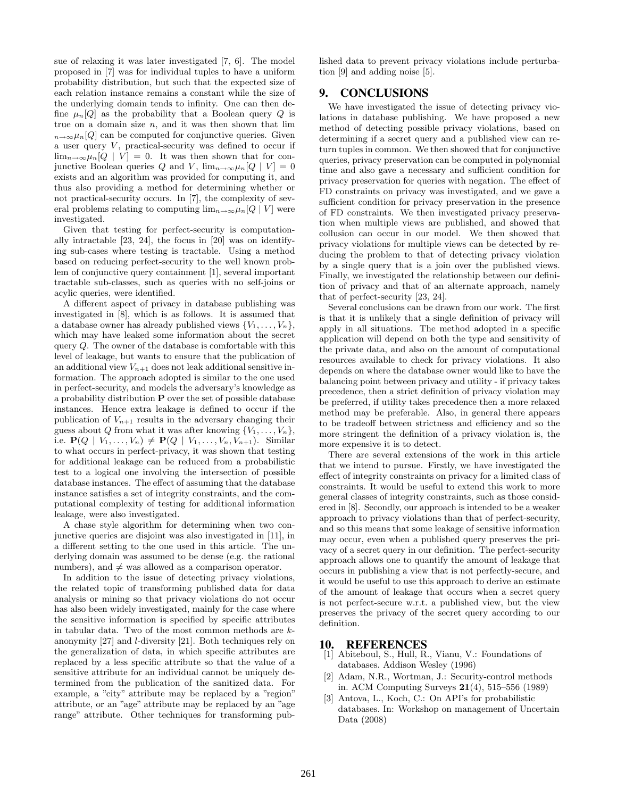sue of relaxing it was later investigated [7, 6]. The model proposed in [7] was for individual tuples to have a uniform probability distribution, but such that the expected size of each relation instance remains a constant while the size of the underlying domain tends to infinity. One can then define  $\mu_n[Q]$  as the probability that a Boolean query Q is true on a domain size  $n$ , and it was then shown that lim  $n \rightarrow \infty$  $\mu_n[Q]$  can be computed for conjunctive queries. Given a user query  $V$ , practical-security was defined to occur if  $\lim_{n\to\infty}\mu_n[Q\mid V]=0.$  It was then shown that for conjunctive Boolean queries Q and V,  $\lim_{n\to\infty} \mu_n[Q | V] = 0$ exists and an algorithm was provided for computing it, and thus also providing a method for determining whether or not practical-security occurs. In [7], the complexity of several problems relating to computing  $\lim_{n\to\infty}\mu_n[Q | V]$  were investigated.

Given that testing for perfect-security is computationally intractable [23, 24], the focus in [20] was on identifying sub-cases where testing is tractable. Using a method based on reducing perfect-security to the well known problem of conjunctive query containment [1], several important tractable sub-classes, such as queries with no self-joins or acylic queries, were identified.

A different aspect of privacy in database publishing was investigated in [8], which is as follows. It is assumed that a database owner has already published views  $\{V_1, \ldots, V_n\},\$ which may have leaked some information about the secret query Q. The owner of the database is comfortable with this level of leakage, but wants to ensure that the publication of an additional view  $V_{n+1}$  does not leak additional sensitive information. The approach adopted is similar to the one used in perfect-security, and models the adversary's knowledge as a probability distribution P over the set of possible database instances. Hence extra leakage is defined to occur if the publication of  $V_{n+1}$  results in the adversary changing their guess about Q from what it was after knowing  $\{V_1, \ldots, V_n\}$ , i.e.  $P(Q | V_1, ..., V_n) \neq P(Q | V_1, ..., V_n, V_{n+1})$ . Similar to what occurs in perfect-privacy, it was shown that testing for additional leakage can be reduced from a probabilistic test to a logical one involving the intersection of possible database instances. The effect of assuming that the database instance satisfies a set of integrity constraints, and the computational complexity of testing for additional information leakage, were also investigated.

A chase style algorithm for determining when two conjunctive queries are disjoint was also investigated in [11], in a different setting to the one used in this article. The underlying domain was assumed to be dense (e.g. the rational numbers), and  $\neq$  was allowed as a comparison operator.

In addition to the issue of detecting privacy violations, the related topic of transforming published data for data analysis or mining so that privacy violations do not occur has also been widely investigated, mainly for the case where the sensitive information is specified by specific attributes in tabular data. Two of the most common methods are kanonymity [27] and l-diversity [21]. Both techniques rely on the generalization of data, in which specific attributes are replaced by a less specific attribute so that the value of a sensitive attribute for an individual cannot be uniquely determined from the publication of the sanitized data. For example, a "city" attribute may be replaced by a "region" attribute, or an "age" attribute may be replaced by an "age range" attribute. Other techniques for transforming published data to prevent privacy violations include perturbation [9] and adding noise [5].

## 9. CONCLUSIONS

We have investigated the issue of detecting privacy violations in database publishing. We have proposed a new method of detecting possible privacy violations, based on determining if a secret query and a published view can return tuples in common. We then showed that for conjunctive queries, privacy preservation can be computed in polynomial time and also gave a necessary and sufficient condition for privacy preservation for queries with negation. The effect of FD constraints on privacy was investigated, and we gave a sufficient condition for privacy preservation in the presence of FD constraints. We then investigated privacy preservation when multiple views are published, and showed that collusion can occur in our model. We then showed that privacy violations for multiple views can be detected by reducing the problem to that of detecting privacy violation by a single query that is a join over the published views. Finally, we investigated the relationship between our definition of privacy and that of an alternate approach, namely that of perfect-security [23, 24].

Several conclusions can be drawn from our work. The first is that it is unlikely that a single definition of privacy will apply in all situations. The method adopted in a specific application will depend on both the type and sensitivity of the private data, and also on the amount of computational resources available to check for privacy violations. It also depends on where the database owner would like to have the balancing point between privacy and utility - if privacy takes precedence, then a strict definition of privacy violation may be preferred, if utility takes precedence then a more relaxed method may be preferable. Also, in general there appears to be tradeoff between strictness and efficiency and so the more stringent the definition of a privacy violation is, the more expensive it is to detect.

There are several extensions of the work in this article that we intend to pursue. Firstly, we have investigated the effect of integrity constraints on privacy for a limited class of constraints. It would be useful to extend this work to more general classes of integrity constraints, such as those considered in [8]. Secondly, our approach is intended to be a weaker approach to privacy violations than that of perfect-security, and so this means that some leakage of sensitive information may occur, even when a published query preserves the privacy of a secret query in our definition. The perfect-security approach allows one to quantify the amount of leakage that occurs in publishing a view that is not perfectly-secure, and it would be useful to use this approach to derive an estimate of the amount of leakage that occurs when a secret query is not perfect-secure w.r.t. a published view, but the view preserves the privacy of the secret query according to our definition.

#### 10. REFERENCES

- [1] Abiteboul, S., Hull, R., Vianu, V.: Foundations of databases. Addison Wesley (1996)
- [2] Adam, N.R., Wortman, J.: Security-control methods in. ACM Computing Surveys 21(4), 515–556 (1989)
- [3] Antova, L., Koch, C.: On API's for probabilistic databases. In: Workshop on management of Uncertain Data (2008)